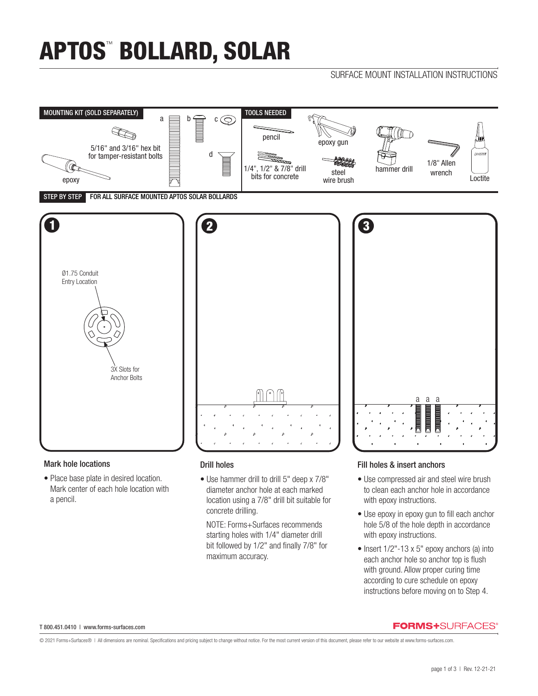# APTOS™ BOLLARD, SOLAR

## SURFACE MOUNT INSTALLATION INSTRUCTIONS



#### Mark hole locations

• Place base plate in desired location. Mark center of each hole location with a pencil.

### Drill holes

• Use hammer drill to drill 5" deep x 7/8" diameter anchor hole at each marked location using a 7/8" drill bit suitable for concrete drilling.

 NOTE: Forms+Surfaces recommends starting holes with 1/4" diameter drill bit followed by 1/2" and finally 7/8" for maximum accuracy.

#### Fill holes & insert anchors

- Use compressed air and steel wire brush to clean each anchor hole in accordance with epoxy instructions.
- Use epoxy in epoxy gun to fill each anchor hole 5/8 of the hole depth in accordance with epoxy instructions.
- Insert  $1/2$ "-13 x 5" epoxy anchors (a) into each anchor hole so anchor top is flush with ground. Allow proper curing time according to cure schedule on epoxy instructions before moving on to Step 4.

#### T 800.451.0410 | www.forms-surfaces.com

© 2021 Forms+Surfaces® | All dimensions are nominal. Specifications and pricing subject to change without notice. For the most current version of this document, please refer to our website at www.forms-surfaces.com.

**FORMS+**SURFACES®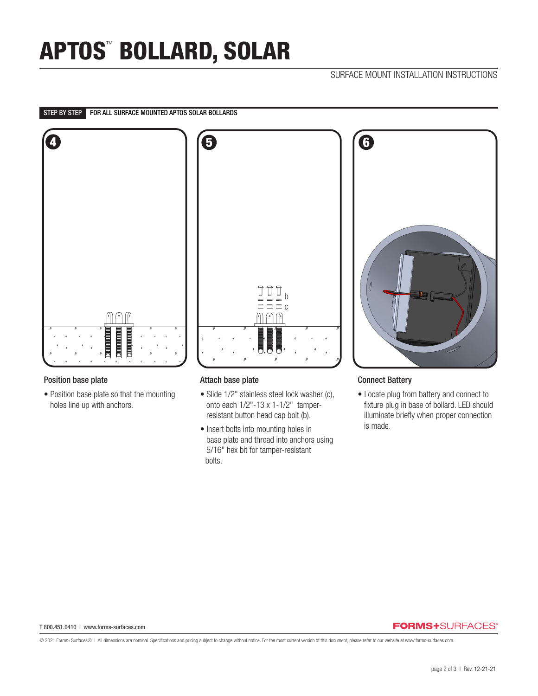# APTOS™ BOLLARD, SOLAR

STEP BY STEP FOR ALL SURFACE MOUNTED APTOS SOLAR BOLLARDS



### Position base plate

• Position base plate so that the mounting holes line up with anchors.



• Slide 1/2" stainless steel lock washer (c), onto each 1/2"-13 x 1-1/2" tamper resistant button head cap bolt (b). • Insert bolts into mounting holes in base plate and thread into anchors using 5/16" hex bit for tamper-resistant

Attach base plate

bolts.



### Connect Battery

• Locate plug from battery and connect to fixture plug in base of bollard. LED should illuminate briefly when proper connection is made.

T 800.451.0410 | www.forms-surfaces.com

## **FORMS+**SURFACES®

© 2021 Forms+Surfaces® | All dimensions are nominal. Specifications and pricing subject to change without notice. For the most current version of this document, please refer to our website at www.forms-surfaces.com.